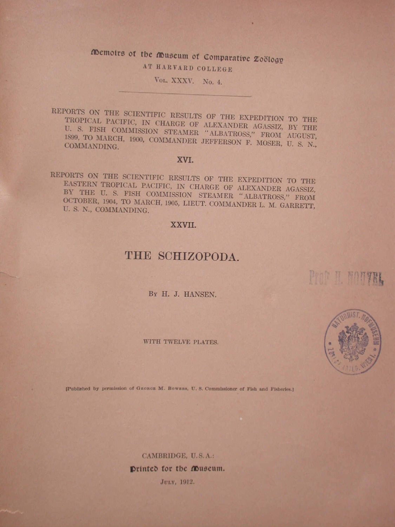# Memoirs of the Museum of Comparative Zoölogy

AT HARVARD COLLEGE

VOL. XXXV. No. 4.

REPORTS ON THE SCIENTIFIC RESULTS OF THE EXPEDITION TO THE TROPICAL PACIFIC, IN CHARGE OF ALEXANDER AGASSIZ, BY THE U. S. FISH COMMISSION STEAMER "ALBATROSS," FROM AUGUST, 1899, TO MARCH, 1900, COMMANDER JEFFERSON F. MOSER, U. S. N., COMMANDING.

### XVI.

REPORTS ON THE SCIENTIFIC RESULTS OF THE EXPEDITION TO THE EASTERN TROPICAL PACIFIC, IN CHARGE OF ALEXANDER AGASSIZ, BY THE U. S. FISH COMMISSION STEAMER "ALBATROSS," FROM OCTOBER, 1904, TO MARCH, 1905, LIEUT. COMMANDER L. M. GARRETT. U. S. N., COMMANDING.

### XXVII.

# THE SCHIZOPODA.

BY H. J. HANSEN.

WITH TWELVE PLATES.



Prof H NO!

[Published by permission of GEORGE M. BOWERS, U.S. Commissioner of Fish and Fisheries.]

CAMBRIDGE, U.S.A.: Printed for the Museum. JULY, 1912.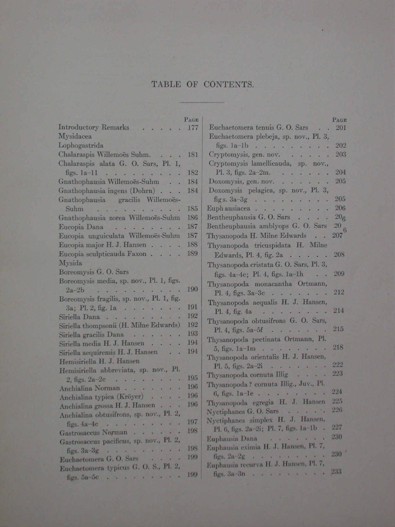## TABLE OF CONTENTS.

|                                                          | <b>PAGE</b> |                                                             | PAGE            |
|----------------------------------------------------------|-------------|-------------------------------------------------------------|-----------------|
| <b>Introductory Remarks</b><br><b>State of the State</b> | . 177       | Euchaetomera tenuis G. O. Sars<br>$\overline{\phantom{a}}$  | 201             |
| Mysidacea                                                |             | Euchaetomera plebeja, sp. nov., Pl. 3,                      |                 |
| Lophogastrida                                            |             | figs. $1a-1b$<br>ü                                          | 202             |
| Chalaraspis Willemoës Suhm.                              | 181         | Cryptomysis, gen. nov.                                      | 203             |
| Chalaraspis alata G. O. Sars, Pl. 1,                     |             | Cryptomysis lamellicauda, sp. nov.,                         |                 |
| figs. $1a-11$                                            | 182         | Pl. 3, figs. $2a-2m$ .<br>ı.                                | 204             |
| Gnathophausia Willemoës-Suhm.                            | 184         | Doxomysis, gen. nov. $\cdot \cdot \cdot \cdot$ .            | 205             |
| Gnathophausia ingens (Dohrn)                             | 184         | Doxomysis pelagica, sp. nov., Pl. 3,                        |                 |
| Gnathophausia gracilis Willemoës-                        |             | figs. $3a-3g$                                               | 205             |
| Suhm                                                     | 185         | Euphausiacea                                                | 206             |
| Gnathophausia zorea Willemoës-Suhm                       | 186         | Bentheuphausia G. O. Sars                                   | 20 <sub>6</sub> |
| Eucopia Dana                                             | 187         | Bentheuphausia amblyops G. O. Sars                          | $\frac{20}{6}$  |
| Eucopia unguiculata Willemoës-Suhm                       | 187         | Thysanopoda H. Milne Edwards                                | 207             |
| Eucopia major H. J. Hansen                               | 188         | Thysanopoda tricuspidata H. Milne                           |                 |
| Eucopia sculpticauda Faxon                               | 189         | Edwards, Pl. 4, fig. 2a                                     | 208             |
| Mysida                                                   |             | Thysanopoda cristata G. O. Sars, Pl. 3,                     |                 |
| Boreomysis G. O. Sars                                    |             | figs. 4a-4c; Pl. 4, figs. 1a-1h                             | 209             |
| Boreomysis media, sp. nov., Pl. 1, figs.                 |             | Thysanopoda monacantha Ortmann,                             |                 |
| $2a-2b$<br>the states of the state of the states of the  | 190         | Pl. 4, figs. $3a-3c$                                        | 212             |
| Boreomysis fragilis, sp. nov., Pl. 1, fig.               |             | Thysanopoda aequalis H. J. Hansen,                          |                 |
| 3a; Pl. 2, fig. 1a                                       | 191         | Pl. 4, fig. 4a                                              | 214             |
| Siriella Dana                                            | 192         |                                                             |                 |
| Siriella thompsonii (H. Milne Edwards)                   | 192         | Thysanopoda obtusifrons G. O. Sars,<br>$Pl. 4, figs. 5a-5f$ | 215             |
| Siriella gracilis Dana                                   | 193         |                                                             |                 |
| Siriella media H. J. Hansen                              | 194         | Thysanopoda pectinata Ortmann, Pl.                          | 218             |
| Siriella aequiremis H. J. Hansen                         | 194         | 5, figs. $1a-1m$<br>Thysanopoda orientalis H. J. Hansen,    |                 |
| Hemisiriella H. J. Hansen                                |             |                                                             | 222             |
| Hemisiriella abbreviata, sp. nov., Pl.                   |             | Pl. 5, figs. $2a-2i$<br>Thysanopoda cornuta Illig           | 223             |
| $2, figs. 2a-2c$                                         | 195         | Thysanopoda? cornuta Illig., Juv., Pl.                      |                 |
| Anchialina Norman                                        | 196         |                                                             | 224             |
| Anchialina typica (Kröyer)                               | 196         | 6, figs. 1a-1e                                              | 225             |
| Anchialina grossa H. J. Hansen                           | 196         | Thysanopoda egregia H. J. Hansen                            | 226             |
| Anchialina obtusifrons, sp. nov., Pl. 2,                 |             | Nyctiphanes G.O. Sars                                       |                 |
| figs. $4a-4c$                                            | 197         | Nyctiphanes simplex H. J. Hansen,                           | 227             |
| Gastrosaccus Nerman                                      | 198         | Pl. 6, figs. 2a-2i; Pl. 7, figs. 1a-1b.                     | 230             |
| Gastrosaccus pacificus, sp. nov., Pl. 2,                 |             | Euphausia Dana                                              |                 |
| figs. $3a-3g$                                            | 198         | Euphausia eximia H. J. Hansen, Pl. 7,                       | 230             |
| Euchaetomera G. O. Sars                                  | 199         | figs. $2a-2g$                                               |                 |
| Euchaetomera typicus G. O. S., Pl. 2,                    |             | Euphausia recurva H. J. Hansen, Pl. 7,                      | 233             |
| $f_1$ <i>es</i> , $5a-5c$ , $\cdots$ , , , , , , ,       | 199         | figs. $3a-3n$                                               |                 |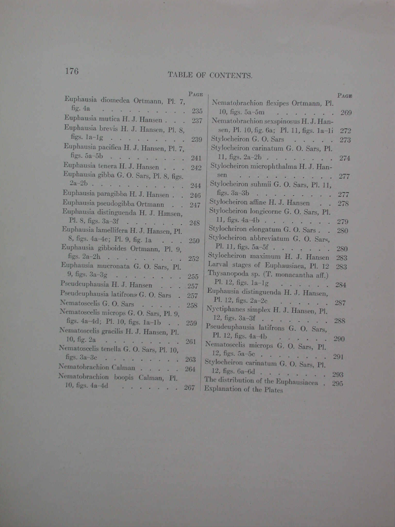## TABLE OF CONTENTS.

| <b>PAGE</b><br>Euphausia diomedea Ortmann, Pl. 7,                      |                                                                                      | PAG          |
|------------------------------------------------------------------------|--------------------------------------------------------------------------------------|--------------|
| fig. 4a<br><b>Carried Carried</b><br>235                               | Nematobrachion flexipes Ortmann, Pl.                                                 |              |
| Euphausia mutica H. J. Hansen<br>237                                   | 10, figs. $5a-5m$                                                                    | 26           |
| Euphausia brevis H. J. Hansen, Pl. 8,                                  | Nematobrachion sexspinosus H.J. Han-                                                 |              |
| figs. $1a-1g$                                                          | sen, Pl. 10, fig. 6a; Pl. 11, figs. 1a-1i                                            | 272          |
| 239<br>Euphausia pacifica H. J. Hansen, Pl. 7,                         | Stylocheiron G. O. Sars                                                              | $27^{\circ}$ |
| figs. $5a-5b$                                                          | Stylocheiron carinatum G. O. Sars, Pl.                                               |              |
| 241                                                                    | 11, figs. $2a-2b$                                                                    | 274          |
| Euphausia tenera H. J. Hansen<br>242                                   | Stylocheiron microphthalma H. J. Han-<br>sen                                         |              |
| Euphausia gibba G. O. Sars, Pl. 8, figs.                               | Mike a strip of the state of the state of<br>Stylocheiron suhmii G. O. Sars, Pl. 11, | 277          |
| $2a-2b$<br>244                                                         |                                                                                      |              |
| Euphausia paragibba H. J. Hansen.<br>246                               | figs. $3a-3b$<br>Stylocheiron affine H. J. Hansen.                                   | 277          |
| Euphausia pseudogibba Ortmann.<br>247                                  | Stylocheiron longicorne G. O. Sars, Pl.                                              | 278          |
| Euphausia distinguenda H. J. Hansen,                                   | 11, figs. $4a-4b$                                                                    |              |
| Pl. 8, figs. 3a-3f<br>248<br>Cuphausia lamellifera H. J. Hansen, Pl.   | Stylocheiron elongatum G. O. Sars                                                    | 279          |
| 8, figs. 4a-4e; Pl. 9, fig. 1a                                         | Stylocheiron abbreviatum G. O. Sars,                                                 | 280          |
| The sea<br>250<br>Cuphausia gibboides Ortmann, Pl. 9,                  | Pl. 11, figs. 5a-5f                                                                  | 280          |
| figs. $2a-2h$                                                          | Stylocheiron maximum H. J. Hansen                                                    | 283          |
| 252<br>luphausia mucronata G. O. Sars, Pl.                             | Larval stages of Euphausiaea, Pl. 12                                                 | 283          |
| 9, figs. $3a-3g$                                                       | Thysanopoda sp. (T. monacantha aff.)                                                 |              |
| 255<br>seudeuphausia H. J. Hansen                                      | Pl. 12, figs. $1a-1g$                                                                | 284          |
| 257<br>seudeuphausia latifrons G. O. Sars.                             | Euphausia distinguenda H. J. Hansen,                                                 |              |
| 257                                                                    | Pl. 12, figs. $2a-2c$                                                                | 287          |
| lematoscelis G. O. Sars<br>258                                         | Nyctiphanes simplex H. J. Hansen, Pl.                                                |              |
| ematoscelis microps G. O. Sars, Pl. 9,                                 | 12, figs. $3a-3f$                                                                    | 288          |
| figs. 4a-4d; Pl. 10, figs. 1a-1b<br>259                                | Pseudeuphausia latifrons G. O. Sars,                                                 |              |
| ematoscelis gracilis H. J. Hansen, Pl.                                 | Pl. 12, figs. $4a-4b$                                                                | 290          |
| 10, fig. 2a $\ldots$<br>261<br>ematoscelis tenella G. O. Sars, Pl. 10, | Nematoscelis microps G. O. Sars, Pl.                                                 |              |
|                                                                        | 12, figs. $5a-5c$                                                                    | 291          |
| figs. $3a-3c$<br>263<br>ematobrachion Calman                           | Stylocheiron carinatum G. O. Sars, Pl.                                               |              |
| 264                                                                    | 12, figs. $6a-6d$                                                                    | 293          |
| ematobrachion boopis Calman, Pl.                                       | The distribution of the Euphausiacea.                                                | 295          |
| 10, figs. $4a-4d$<br>267<br>٠.                                         | Explanation of the Plates                                                            |              |
|                                                                        |                                                                                      |              |

176

N N N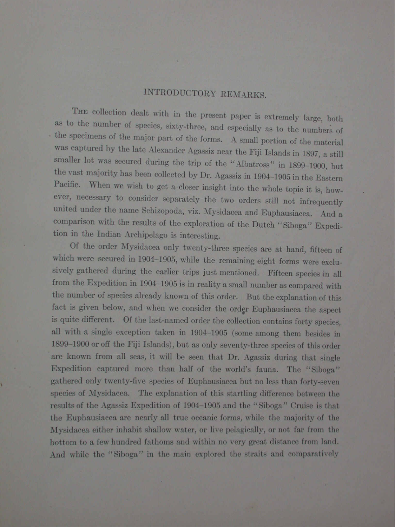## INTRODUCTORY REMARKS.

THE collection dealt with in the present paper is extremely large, both as to the number of species, sixty-three, and especially as to the numbers of the specimens of the major part of the forms. A small portion of the material was captured by the late Alexander Agassiz near the Fiji Islands in 1897, a still smaller lot was secured during the trip of the "Albatross" in 1899-1900, but the vast majority has been collected by Dr. Agassiz in 1904-1905 in the Eastern Pacific. When we wish to get a closer insight into the whole topic it is, however, necessary to consider separately the two orders still not infrequently united under the name Schizopoda, viz. Mysidacea and Euphausiacea. And a comparison with the results of the exploration of the Dutch "Siboga" Expedition in the Indian Archipelago is interesting.

Of the order Mysidacea only twenty-three species are at hand, fifteen of which were secured in 1904-1905, while the remaining eight forms were exclusively gathered during the earlier trips just mentioned. Fifteen species in all from the Expedition in 1904-1905 is in reality a small number as compared with the number of species already known of this order. But the explanation of this fact is given below, and when we consider the order Euphausiacea the aspect is quite different. Of the last-named order the collection contains forty species. all with a single exception taken in 1904-1905 (some among them besides in 1899-1900 or off the Fiji Islands), but as only seventy-three species of this order are known from all seas, it will be seen that Dr. Agassiz during that single Expedition captured more than half of the world's fauna. The "Siboga" gathered only twenty-five species of Euphausiacea but no less than forty-seven species of Mysidacea. The explanation of this startling difference between the results of the Agassiz Expedition of 1904–1905 and the "Siboga" Cruise is that the Euphausiacea are nearly all true oceanic forms, while the majority of the Mysidacea either inhabit shallow water, or live pelagically, or not far from the bottom to a few hundred fathoms and within no very great distance from land. And while the "Siboga" in the main explored the straits and comparatively